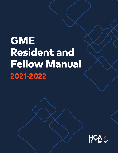# **GME Resident and Fellow Manual 2021-2022**

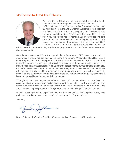# **Welcome to HCA Healthcare**



As a resident or fellow, you are now part of the largest graduate medical education (GME) network in the United States.

HCA Healthcare is currently home to GME programs in more than 60 hospitals from Florida to California. Welcome to your program and to the broader HCA Healthcare organization. You have started the most impactful period of your medical training. This is a time when you will be inspired, challenged and given the tools to care for and improve human life. And, by joining the HCA Healthcare family, you have opened the door not only to an exceptional GME experience but also to fulfilling career opportunities across our

robust network of top-performing hospitals, surgery centers, practices, urgent care centers and research centers.

As is the case with most U.S. residency and fellowship programs, GME is where newly minted doctors begin to treat real patients in a real-world environment. What makes HCA Healthcare's GME programs unique is our emphasis on the individual resident/fellow's performance. We work to develop competencies that a physician will need once he or she enters practice, such as core measures and patient satisfaction. We give continuous feedback to our residents/fellows so they will understand where they excel, as well as where they can improve. We tailor our curricular offerings and use our wealth of expertise and resources to provide you with personalized, innovative and evidence-based training. This offers you the advantage of quickly becoming a leader in the healthcare industry early in your career.

Throughout your educational experience, there will be an intentional emphasis on communication between the physician and the patient. We also spend a great deal of time talking about the business side of healthcare. Since HCA Healthcare leads in both of these areas, we are uniquely prepared to help you become the very best physician you can be.

I want to thank you for choosing HCA Healthcare. Welcome to the nation's highest-quality, most patient-centered team, where one path leads to thousands of opportunities.

Sincerely,

Bruce Deighton, PhD | Vice President Graduate Medical Education | HCA Healthcare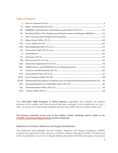### Table of Contents

| I.         |                                                                              |
|------------|------------------------------------------------------------------------------|
| <b>II.</b> |                                                                              |
| III.       | Eligibility and Selection of Residents and Fellows (IV.B.1) 10               |
| IV.        | Resident/Fellow Pre-Employment Requirements and Responsibilities12           |
| V.         |                                                                              |
| VI.        |                                                                              |
| VII.       |                                                                              |
| VIII.      |                                                                              |
| IX.        |                                                                              |
| X.         |                                                                              |
| XI.        |                                                                              |
| XII.       |                                                                              |
| XIII.      |                                                                              |
| XIV.       |                                                                              |
| XV.        |                                                                              |
| XVI.       |                                                                              |
| XVII.      |                                                                              |
| XVIII.     | Substantial Disruption in Patient Care or Educational Requirements (IV.N) 39 |
| XIX.       |                                                                              |
| XX.        |                                                                              |
|            |                                                                              |

This **2021-2022 GME Resident & Fellow Manual** supersedes and replaces all previous versions of the resident and fellow manual that were available in the hospital prior to July 1, 2021, as well as any Sponsoring Institution policies that conflict with the policies listed here.

**The Roman numerals at the end of the subject matter headings above relate to the [ACGME Institutional Requirements](https://www.acgme.org/Portals/0/PFAssets/ProgramRequirements/800_InstitutionalRequirements_2021.pdf?ver=2021-02-19-090632-820) section headings.** 

### **Statement on Podiatric Medicine and Surgery Residencies**

This statement acknowledges that the Podiatric Medicine and Surgery Residency (PMSR) programs are approved by the Council on Podiatric Medical Education (CPME). All references to the Accreditation Council for Graduate Medical Education (ACGME) throughout documents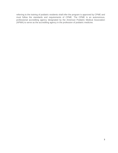referring to the training of podiatric residents shall infer the program is approved by CPME and must follow the standards and requirements of CPME. The CPME is an autonomous, professional accrediting agency designated by the American Podiatric Medical Association (APMA) to serve as the accrediting agency in the profession of podiatric medicine.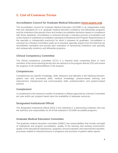# <span id="page-4-0"></span>**I. List of Common Terms**

# **Accreditation Council for Graduate Medical Education ([www.acgme.org](https://www.acgme.org/))**

The Accreditation Council for Graduate Medical Education (ACGME) is an independent entity that sets standards for U.S. graduate medical education (residency and fellowship) programs and the institutions that sponsor them and renders accreditation decisions based on compliance with those standards. Accreditation is achieved through a voluntary process of evaluation and review based on published accreditation standards (Institutional and Program Requirements) of the specialty or subspecialty practice(s) for which it prepares its graduates. Accreditation is overseen by a Review Committee made up of volunteer specialty experts from the field that set accreditation standards and provide peer evaluation of Sponsoring Institutions and specialty and subspecialty residency and fellowship programs.

# **Clinical Competency Committee**

The clinical competency committee (CCC) is a required body comprising three or more members of the active teaching faculty who are advisory to the program director (PD) and review the progress of all residents/fellows in the program.

### **Competencies**

Competencies are specific knowledge, skills, behaviors and attitudes in the following domains: patient care and procedural skills; medical knowledge; practice-based learning and improvement; interpersonal and communication skills; professionalism; and systems-based practice.

### **Complement**

A complement is the maximum number of residents or fellows approved by a Review Committee per year and/or per program based upon the availability of adequate resources.

### **Designated Institutional Official**

The designated institutional official (DIO) is the individual in a Sponsoring Institution who has the authority and responsibility for all of that institution's ACGME-accredited programs.

### **Graduate Medical Education Committee**

The graduate medical education committee (GMEC) has responsibilities that include oversight of institutional and program accreditation, quality of the learning and working environment, quality of the educational experiences, programs' annual evaluation and improvement activities, processes related to reduction/closure of programs and provision of patient safety reports.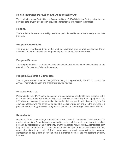# **Health Insurance Portability and Accountability Act**

The Health Insurance Portability and Accountability Act (HIPAA) is United States legislation that provides data privacy and security provisions for safeguarding medical information.

# **Hospital**

The hospital is the acute care facility to which a particular resident or fellow is assigned for their program.

# **Program Coordinator**

The program coordinator (PC) is the lead administrative person who assists the PD in accreditation efforts, educational programming and support of residents/fellows.

### **Program Director**

The program director (PD) is the individual designated with authority and accountability for the operation of a residency/fellowship program.

### **Program Evaluation Committee**

The program evaluation committee (PEC) is the group appointed by the PD to conduct the Annual Program Evaluation and program review as needed.

### **Postgraduate Year**

Postgraduate year (PGY) is the denotation of a postgraduate resident/fellow's progress in his or her residency and/or fellowship training; used to stratify responsibility in most programs. The PGY does not necessarily correspond to the resident/fellow's year in an individual program. For example, a fellow who has completed a pediatric residency program and is in the first year of a pediatric endocrinology fellowship program is a pediatric endocrinology 1 level and a PGY-4.

### **Remediation**

Residents/fellows may undergo remediation, which allows for correction of deficiencies that require intervention. Remediation is a method to assist each learner in reaching his/her fullest potential by addressing areas of deficiency toward graduation requirements. A remediation plan may be issued to address and correct the resident/fellow's performance deficiencies that may cause disruption to a resident/fellow's progression or continuation within the program. Remediation is not a form of punishment but a method used to help the resident or fellow improve.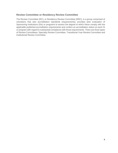### **Review Committee or Residency Review Committee**

The Review Committee (RC), or Residency Review Committee (RRC), is a group comprised of volunteers that sets accreditation standards (requirements), provides peer evaluation of Sponsoring Institutions (SIs) or programs to assess the degree to which these comply with the applicable published accreditation requirements and confers an accreditation status on each SI or program with regard to substantial compliance with those requirements. There are three types of Review Committees: Specialty Review Committee, Transitional Year Review Committee and Institutional Review Committee.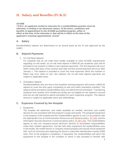# <span id="page-7-0"></span>**II. Salary and Benefits (IV.B.3)**

#### *ACGME*

*"IV.B.3. An applicant invited to interview for a resident/fellow position must be informed, in writing or by electronic means, of the terms, conditions and benefits of appointment to the ACGME-accredited program, either in effect at the time of the interview or that will be in effect at the time of the applicant's eventual appointments. (Core)"*

### **A. Salary**

Resident/fellow salaries are determined on an annual basis by the SI and approved by the GMEC.

#### **B. Stipend Payments**

1. On-Call Meal Stipend

For hospitals that do not make food readily available to meet ACGME requirements regarding on-call meals, an on-call meal stipend of \$950.00 per academic year will be provided to the resident or fellow in two separate payments. The first payment will occur within ninety (90) days of the contract start date and the second payment will occur after January 1. This stipend is provided to cover the meal expenses which the resident or fellow may incur while on call. Like salaries, the on-call meal stipend payments are subject to applicable taxes.

#### 2. Orientation Stipend

Residents/fellows who are new to the hospital's training programs will receive a \$500.00 stipend to cover the time spent completing on-site and online orientation activities. The stipend will be prorated if resident/fellow does not attend the full orientation. Transferring residents from another HCA Healthcare facility are not eligible for the stipend a second time but are still required to attend orientation for each respective program. The stipend amount is subject to applicable taxes and withholdings.

#### **C. Expenses Covered by the Hospital**

1. Equipment

The hospital will determine, and make available as needed, electronic and mobile devices for use consistent with the program's scope and needs. The assigned equipment is the property of the hospital and the resident/fellow agrees to use it in accordance with the Appropriate Use of Communication Resources and Systems policy, [EC.026,](https://hcahealthcare.com/util/forms/ethics/policies/ethics-and-compliance/EC026.docx) and the Information Security Electronic Communications policy, [IP.SEC.002.](https://connect.medcity.net/c/document_library/get_file?uuid=93d46e19-3e82-478d-9b49-1d6829182d4c&groupId=42069440) The resident/fellow agrees to only use company-issued electronic devices to accomplish responsibilities under their resident agreement. Just like with other equipment the resident/fellow uses in the facility, the mobile device is company-owned property and should not be tampered with, such as removing and replacing the phone's subscriber identification module (SIM) card. Prior to the program's completion, if requested, the resident/fellow will return the equipment to the hospital in the condition in which it was provided to him/her with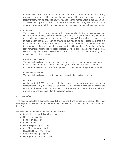reasonable wear and tear. If the equipment is either not returned to the hospital for any reason, or returned with damage beyond reasonable wear and tear, then the resident/fellow may be asked to pay the hospital the fair market value of the equipment, as determined by the hospital. If required, the resident/fellow agrees to enter into a separate agreement with the hospital regarding possession and use of such equipment.

2. Licensure

The hospital shall pay for or reimburse the resident/fellow for the medical educational limited license. In cases where a full medical license is required by the medical board, the hospital shall pay for this license as well. The resident/fellow shall initiate procedures to obtain such license as soon as she/he is qualified to do so. Please note that it is incumbent on the resident/fellow to understand the requirements of the medical board in the state where their residency/fellowship training will take place. States have differing requirements as it relates to medical educational limited licenses and when a full medical license is required. Failure to secure the needed license in a timely manner may result in suspension or termination.

3. Required Certification

The hospital shall provide the certification courses and any related materials required by the hospital and/or the program, including, but not limited to, Basic Life Support (BLS) and Advanced Cardiac Life Support (ACLS), pursuant to the program manual.

- 4. In-Service Examinations The hospital shall pay for in-training examinations in the applicable specialty.
- 5. Uniforms

At the start of PGY-1, the hospital shall provide either two laboratory coats per resident/fellow (July 1 to June 30) or provide a reasonable substitution satisfying the facility requirements and program specialty. For subsequent years, the hospital shall provide uniforms as specified in the program budget.

### **D. Benefits**

The hospital provides a comprehensive list of personal benefits package options. The most current plan, enrollment and renewal information may be found on the hospital human resources benefits site.

Benefits include, but are not limited to, the following:

- Medical, dental and vision insurance
- Short-term disability
- Long-term disability
- Life insurance
- Flexible spending accounts
- CorePlus voluntary benefits
- HCA Healthcare 401(k) plan
- Optum WellBeing Support
- Employee Stock Purchase Plan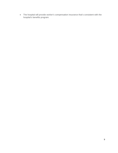• The hospital will provide worker's compensation insurance that's consistent with the hospital's benefits program.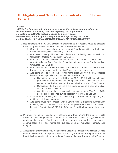# <span id="page-10-0"></span>**III. Eligibility and Selection of Residents and Fellows (IV.B.1)**

#### *ACGME*

*"IV.B.1. The Sponsoring Institution must have written policies and procedures for resident/fellow recruitment, selection, eligibility, and appointment consistent with ACGME Institutional and Common Program Requirements, and Recognition Requirements (if applicable), and must monitor each of its ACGME-accredited programs for compliance. (Core)"* 

- A. Residents/fellows in ACGME-accredited programs at the hospital must be selected based on qualifications that meet or exceed the standards below.
	- 1. Graduates of medical schools in the U.S. and Canada accredited by the Liaison Committee for Medical Education (LCME); or,
	- 2. Graduates of osteopathic medicine in the U.S. accredited by the Commission on Osteopathic College Accreditation (COCA); or,
	- 3. Graduates of medical schools outside the U.S. or Canada who have received a currently valid certificate from the Educational Commission for Foreign Medical Graduates (ECFMG); or,
	- 4. Graduates of medical schools outside the U.S. who have completed a Fifth Pathway program provided by an LCME-accredited medical school.
	- 5. Applicants must be recent (two or fewer years) graduates from medical school to be considered. Special exceptions may be considered for:
		- a. Candidates with an M.D. or D.O. with a M.P.H./M.S./Ph.D. and extensive prior research experience after completion of an LCME- or a COCAaccredited medical or osteopathic medical school in the U.S. or Canada;
		- b. Candidates who have served a prolonged period as a general medical officer in the U.S. military;
		- c. Candidates who have successfully completed an ACGME- or AOAaccredited residency/fellowship program in the U.S. or Canada.
	- 6. All requisite prior training must be **successfully** completed prior to beginning any residency or fellowship program.
	- 7. Applicants must have passed United States Medical Licensing Examination (USMLE) Step 1 and Step 2 CK or the Comprehensive Osteopathic Medical Licensing Examination (COMLEX-USA) Level 1 and both components of Level 2.
- B. Programs will select candidates to interview only from among the pool of eligible applicants, evaluating each applicant based on their preparedness, ability, aptitude and academic background (to include clerkship grades, standardized test scores, communication skills and humanistic qualities, such as motivation, honesty and integrity).
- C. All residency programs are required to use the Electronic Residency Application Service (ERAS) to receive and accept applications to the program. All residency programs at the hospital will also participate in the National Resident Matching Program (NRMP) as the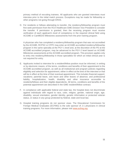primary method of recruiting trainees. All applicants who are granted interviews must interview prior to the initial match process. Exceptions may be made for fellowship or other programs not going through ERAS.

D. For residents or fellows attempting to transfer, the residency/fellowship program must first seek permission from the HCA Healthcare GME Division Vice President to consider the transfer. If permission is granted, then the receiving program must receive verification of each applicant's level of competency in the required clinical field using ACGME or CanMEDS Milestones assessments from the prior training program.

A physician who has completed a residency/fellowship program that was not accredited by the ACGME, RCPSC or CFPC may enter an ACGME-accredited residency/fellowship program in the same specialty at the PGY-1 level and, at the discretion of the PD at the ACGME-accredited program, may be advanced to the PGY-2 level based on ACGME Milestones assessments at the ACGME-accredited program. This provision applies only to entry into residency/fellowship in those specialties for which an initial clinical year is not required for entry.

- E. Applicants invited to interview for a resident/fellow position must be informed, in writing or by electronic means, of the terms, conditions and benefits of their appointment to the ACGME-accredited program, as well as all institutional and program policies regarding eligibility and selection for appointment, either in effect at the time of the interview or that will be in effect at the time of their eventual appointment. This includes financial support; vacations; parental leave, sick leave and other leaves of absence; and professional liability, hospitalization, health, disability and other insurance accessible to residents/fellows and their eligible dependents. All terms, conditions and benefits of the potential appointment are described in the GME resident/fellow contract.
- F. In compliance with applicable federal and state law, the hospital does not discriminate against individuals with regard to race, color, religion, gender, national origin, age, disability, sexual orientation, gender identity, genetic information or protected veteran status, or status in any group protected by federal, state and local law.
- G. Hospital training programs do not sponsor visas. The Educational Commission for Foreign Medical Graduates (ECFMG) is the sole sponsor of J-1 physicians in clinical training programs. For more information, please visit [www.ecfmg.org.](https://www.ecfmg.org/)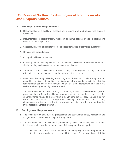# <span id="page-12-0"></span>**IV. Resident/Fellow Pre-Employment Requirements and Responsibilities**

### **A. Pre-Employment Requirements**

- 1. Documentation of eligibility for employment, including work and training visa status, if applicable;
- 2. Documentation of resident/fellow receipt of all immunizations or signed declinations required under hospital policy;
- 3. Successful passing of laboratory screening tests for abuse of controlled substances;
- 4. Criminal background check;
- 5. Occupational health screening;
- 6. Obtaining and maintaining a valid, unrestricted medical license for medical trainees of a similar training level as required in the state of employment;
- 7. Attendance at and successful completion of any pre-employment training courses or orientation assignments required by the hospital or the program;
- 8. Proof of graduation by delivering to the program a diploma or official transcript from an accredited medical, osteopathic or podiatric school in accordance with the eligibility requirements set out in this manual, which are also incorporated into the GME resident/fellow agreement by reference; and
- 9. The resident/fellow must not currently be excluded, debarred or otherwise ineligible to participate in any federal healthcare programs, must not have been convicted of a criminal offense related to the provision of health care items or services and must not be, to the best of his/her knowledge, under investigation or otherwise aware of any circumstances which may result in the resident/fellow being excluded from participation in the federal healthcare programs.

# **B. Employment Requirements**

- 1. The resident/fellow shall fulfill all professional and educational duties, obligations and assignments provided by the hospital through the PD.
- 2. The resident/fellow shall maintain in good standing either such training license or such full license at all times during the residency/fellowship employment period.
	- a. Residents/fellows in California must maintain eligibility for licensure pursuant to the license exemption and register with the board. Failure to maintain eligibility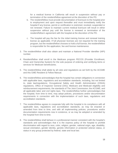for a medical license in California will result in suspension without pay or termination of the resident/fellow agreement at the discretion of the PD.

- b. The resident/fellow must provide documentation of licensure to the hospital prior to employment and upon request thereafter and must immediately notify the hospital if any license, permit or certification is restricted, revoked, suspended or not renewed. Failure to maintain current medical licensure will result in either suspension without pay until the license is renewed or termination of the resident/fellow's agreement with the hospital at the discretion of the PD.
- c. The hospital will pay the fee for the initial training license and renewal training license as applicable. If full physician licenses are not required for the training program, but the resident/fellow chooses to hold a full license, the resident/fellow is responsible for the application, fee and license maintenance.
- 3. The resident/fellow shall also obtain and maintain a National Provider Identifier (NPI) number.
- 4. Resident/fellow shall enroll in the Medicare program PECOS (Provider Enrollment, Chain and Ownership System) for the sole purpose of ordering and certifying items or services for Medicare beneficiaries.
- 5. The resident/fellow shall abide by all rules and regulations as set forth by the ACGME and this GME Resident & Fellow Manual.
- 6. The resident/fellow acknowledges that the hospital has certain obligations in connection with applicable laws, regulations and accreditation standards, including, but not limited to, state law/regulations; Occupational Safety and Health Administration (OSHA) regulations, Office of Inspector General (OIG); Medicare and Medicaid eligibility and reimbursement requirements, the standards of The Joint Commission; the ACGME; and all applicable labor and civil rights laws. The resident/fellow further acknowledges that the hospital, from time to time, may adopt policies, procedures and/or documentation requirements in connection with the implementation of such laws, regulations and accreditation standards.
- 7. The resident/fellow agrees to cooperate fully with the hospital in its compliance with all applicable laws, regulations and accreditation standards, as may be enacted or amended from time to time, and with all implementing policies, procedures and/or documentation requirements now in existence, or as may be adopted or amended by the hospital from time to time.
- 8. The resident/fellow shall behave in a professional manner consistent with the hospital's standards and acknowledges that it is the express policy of the hospital to prohibit discrimination with regard to race, color, religion, gender, national origin, age, disability, sexual orientation, gender identity, genetic information or protected veteran status, or status in any group protected by federal, state and local law.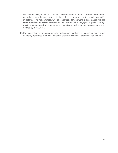- 9. Educational assignments and rotations will be carried out by the resident/fellow and in accordance with the goals and objectives of each program and the specialty-specific milestones. The resident/fellow will be responsible for operating in accordance with the **GME Resident & Fellow Manual** as the resident/fellow engages in patient safety, quality improvement, transitions of care, supervision, work hours and professionalism as defined by the ACGME.
- 10. For information regarding requests for and consent to release of information and release of liability, reference the GME Resident/Fellow Employment Agreement Attachment 1.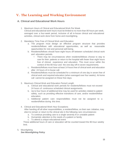# <span id="page-15-0"></span>**V. The Learning and Working Environment**

### **A. Clinical and Educational Work Hours**

- 1. Maximum Hours of Clinical and Educational Work Per Week Clinical and educational work hours must be limited to no more than 80 hours per week, averaged over a four-week period, inclusive of all in-house clinical and educational activities, clinical work done from home and moonlighting.
- 2. Mandatory Time Free of Clinical Work and Education
	- a. The program must design an effective program structure that provides residents/fellows with educational opportunities, as well as reasonable opportunities for rest and personal well-being.
	- b. Residents/fellows should have eight hours off between scheduled clinical work and education periods.
		- There may be circumstances when residents/fellows choose to stay to care for their patients or return to the hospital with fewer than eight hours free of clinical experience and education. This must occur within the context of the 80-hour and the one-day-off-in-seven requirements.
	- c. Residents/fellows must have at least 14 hours free of clinical work and education after 24 hours of in-house call.
	- d. Residents/fellows must be scheduled for a minimum of one day in seven free of clinical work and required education (when averaged over four weeks). At-home call cannot be assigned on these free days.
- 3. Maximum Clinical Work and Education Period Length
	- a. Clinical and educational work periods for residents/fellows must not exceed 24 hours of continuous scheduled clinical assignments.
	- b. Up to four hours of additional time may be used for activities related to patient safety, such as providing effective transitions of care, and/or resident/fellow education.
	- c. Additional patient care responsibilities must not be assigned to a resident/fellow during this time.
- 4. Clinical and Educational Work Hour Exceptions

After handing off all other responsibilities, a resident/fellow, on their own initiative, may elect to remain or return to the clinical site in the following rare circumstances:

- a. To continue providing care to a single severely ill or unstable patient
- b. Humanistic attention to the needs of a patient or family
- c. To attend a unique educational event

These additional hours of care or education will be counted toward the 80-hour weekly limit.

5. Moonlighting *See Moonlighting Policy*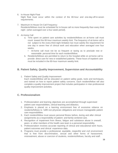6. In-House Night Float

Night float must occur within the context of the 80-hour and one-day-off-in-seven requirements.

7. Maximum In-House On-Call Frequency

Residents/fellows must be scheduled for in-house call no more frequently than every third night (when averaged over a four-week period).

- 8. At-Home Call
	- a. Time spent on patient care activities by residents/fellows on at-home call must count toward the 80-hour maximum weekly limit. The frequency of at-home call is not subject to the every-third-night limitation but must satisfy the requirement for one day in seven free of clinical work and education when averaged over four weeks.
		- At-home call must not be so frequent or taxing as to preclude rest or reasonable personal time for each resident/fellow.
	- b. Residents/fellows are permitted to return to the hospital while on at-home call to provide direct care for new or established patients. These hours of inpatient care must be included in the 80-hour maximum weekly limit.

# **B. Patient Safety, Quality Improvement, Supervision and Accountability**

1. Patient Safety and Quality Improvement Each resident/fellow will be educated on patient safety goals, tools and techniques, and trained on how to report patient safety concerns. Each resident/fellow will also complete a quality improvement project that includes participation in inter-professional quality improvement activities.

# **C. Professionalism**

- 1. Professionalism and learning objectives are accomplished through supervised patient care responsibilities, clinical teaching and didactics.
- 2. Emphasis is placed on a learning environment free of excessive reliance on residents/fellows to fulfill non-physician obligations and ensure manageable patient care responsibilities.
- 3. Each resident/fellow must assure personal fitness before, during and after clinical assignments as a responsibility of patient- and family-centered care.
- 4. Recognition of impairment from illness, fatigue and substance abuse in oneself, peers or other members of the health care team is a personal responsibility.
- 5. Professionalism involves accurate reporting of clinical and educational work hours, patient outcomes and clinical experience data.
- 6. Programs must provide a professional, equitable, respectful and civil environment that is free from discrimination, sexual and other forms of harassment, mistreatment, abuse or coercion of students, residents/fellows, faculty and staff.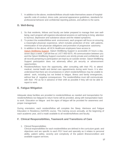7. In addition to the above, residents/fellows should make themselves aware of hospitalspecific code of conduct, dress code, personal appearance guidelines, standards for professional behavior and confidential reporting policies, and adhere to the same.

# **D. Well-Being**

- 1. So that residents, fellows and faculty are better prepared to manage their own wellbeing, each program will organize educational sessions on well-being to bring attention to burnout, depression and substance abuse and the related symptoms.
- 2. To protect the resident/fellow work environment, each program will focus on ensuring a meaningful physician experience, which includes protection of time with patients, minimization of non-physician obligations and promotion of progressive autonomy.
- 3. In addition to the above, all HCA Healthcare employees have access to [Optum WellBeing Support.](https://www.liveandworkwell.com/content/en/public.html) Optum WellBeing Support is accessible 24 hours a day, seven days a week. Call toll-free at 1-877-950-5075. All communication between you and the Optum WellBeing Support counselors are strictly private and confidential, and all records pertaining to participation are kept by an outside vendor. Optum WellBeing Support participation does not adversely affect job security or advancement opportunities.
- 4. Residents/fellows have the opportunity, after consulting with their PD, to attend medical, mental health and dental care appointments during work hours. It is also understood that there are circumstances in which residents/fellows may be unable to attend work, including but not limited to fatigue, illness and family emergencies, without fear of negative consequences. The resident/fellow must still communicate with their PD as far in advance of their shift as possible if they will not be able to report to work.

# **E. Fatigue Mitigation**

Adequate sleep facilities are provided to residents/fellows as needed and transportation for residents/fellows too fatigued to return home will be provided, along with transportation back to work. Education on fatigue and the signs of fatigue will be provided for awareness and proper management.

During orientation, each resident/fellow will complete the Sleep, Alertness and Fatigue Education in Residency (SAFER) course. This training occurs annually, at the beginning of each academic year, and is made available to all residents/fellows and faculty.

# **F. Clinical Responsibilities, Teamwork and Transitions of Care**

1. Clinical Responsibilities

Clinical responsibilities for each resident/fellow are defined in the curriculum goals and objectives and are specific to each PGY level and specialty as it relates to personal ability, patient safety, severity and complexity of the patient illness/condition and available support services.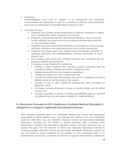2. Teamwork

Residents/fellows must care for patients in an environment that maximizes communication and opportunity to work as a member of effective inter-professional teams that are appropriate for specialty-specific delivery of care.

- 3. Transitions of Care
	- a. Programs must design clinical assignments to optimize transitions in patient care, including their safety, frequency and structure.
	- b. Programs, in partnership with their Sponsoring Institutions, must provide and monitor effective, structured hand-over processes to facilitate both continuity of care and patient safety.
	- c. Programs must ensure that residents/fellows are competent in communicating with team members in the hand-over process and monitor that process.
	- d. Programs and clinical sites must maintain and communicate schedules of attending physicians and residents/fellows currently responsible for each patient's care.
	- e. Each program must monitor the continuity of patient care, consistent with the program's policies and procedures.
	- f. A transition of care ("hand-off") is defined as:
		- Change in level of patient care, including inpatient admission from the ambulatory setting, outpatient procedure or diagnostic area
		- Inpatient admission from the emergency department
		- Transfer of a patient to or from a critical care unit
		- Transfer of a patient from the intensive care unit to an inpatient unit when a different physician will be caring for that patient
		- Transfer of care to other healthcare professionals within procedure or diagnostic areas
		- Discharge, including discharge to home or another facility such as skilled nursing care
		- Change in provider or service, including resident/fellow sign-out, inpatient consultation sign-out, and rotation changes for residents/fellows

# **G. Disclosure Pursuant to HCA Healthcare Graduate Medical Education's Obligations to Support Legitimate Educational Interests**

Each teaching hospital's goal is to continually improve the clinical and educational environment in which residents train. The hospitals and officials of the HCA Healthcare corporate GME office may use residents' education records and personally identifiable information, including but not limited to clinical outcomes data, in-training exam performance, formative and summative evaluation results, curriculum outcomes, etc., to support this goal. The only persons or offices with legitimate educational interests in reviewing resident education records and personally identifiable information include, but are not limited to, those employed by the hospital or HCA Healthcare GME in an administrative, supervisory, academic or research, or support staff positions, contractors,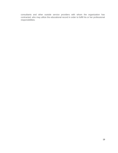consultants and other outside service providers with whom the organization has contracted, who may utilize the educational record in order to fulfill his or her professional responsibilities.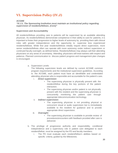# <span id="page-20-0"></span>**VI. Supervision Policy (IV.J)**

#### *ACGME*

*"IV.J.1. The Sponsoring Institution must maintain an institutional policy regarding supervision of residents/fellows. (Core)"*

#### **Supervision and Accountability**

All residents/fellows providing care to patients will be supervised by an available attending physician. As residents/fellows demonstrate competence in their ability to care for patients, it is important to foster their progression to higher levels of autonomy by providing them with clinical roles with greater independence and the opportunity to supervise less experienced residents/fellows. While first year residents/fellows initially require direct supervision, more senior residents/fellows often can operate with more autonomy under indirect supervision or continued faculty oversight, as defined below. Residents/fellows may always call their attending physicians on any areas of uncertainty. Attending physicians will treat trainees with respect and patience. Planned communication to discuss patient progress and management plan changes is encouraged.

a. Supervision Levels

The following supervision levels are defined by current ACGME common program requirements and the institutional supervision guidelines. According to the ACGME, each patient must have an identifiable and credentialed attending physician who is responsible and accountable for the patient's care.

- i. *Direct supervision*:
	- The supervising physician is physically present with the resident/fellow during the key portions of the patient interaction.
	- The supervising physician and/or patient is not physically present with the resident and the supervising physician is concurrently monitoring the patient care through appropriate telecommunication technology.
- ii. *Indirect supervision:*
	- The supervising physician is not providing physical or concurrent visual or audio supervision but is immediately available to the resident for guidance and to provide appropriate direct supervision.
- iii. *Oversight:*
	- The supervising physician is available to provide review of procedures/encounters with feedback provided after care is delivered.
- b. The privilege of progressive authority and responsibility, conditional independence and a supervisory role in patient care delegated to each resident/fellow must be assigned by the PD and faculty members.
	- i. The PD must evaluate each resident/fellow's abilities based on specific criteria, guided by the Milestones.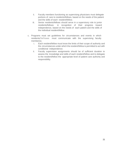- ii. Faculty members functioning as supervising physicians must delegate portions of care to residents/fellows, based on the needs of the patient and the skills of each resident/fellow.
- iii. Senior residents/fellows should serve in a supervisory role to junior residents/fellows in recognition of their progress toward independence, based on the needs of each patient and the skills of the individual resident/fellow.
- c. Programs must set guidelines for circumstances and events in which residents/fellows must communicate with the supervising faculty member(s).
	- i. Each resident/fellow must know the limits of their scope of authority and the circumstances under which the resident/fellow is permitted to act with conditional independence.
	- ii. Faculty supervision assignments should be of sufficient duration to assess the knowledge and skills of each resident/fellow and to delegate to the resident/fellow the appropriate level of patient care authority and responsibility.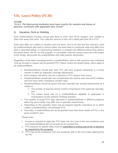# <span id="page-22-0"></span>**VII. Leave Policy (IV.H)**

### *ACGME*

*"IV.H.1. The Sponsoring Institution must have a policy for vacation and leaves of absence, consistent with applicable laws. (Core)"*

# **A. Vacation, Sick or Holiday**

Each resident/fellow receives annual paid leave to cover time off for vacation, sick, holiday or other time away from work. This collective amount of time off is called paid time off or PTO.

State laws differ as it relates to vacation and sick leave. Due to the fact that this manual is used by residents/fellows who work in various states, the leave laws in a particular state may differ from what is described below. If a Sponsoring Institution or program has different polices than what is described below, the PC for that program, in consultation with the human resources (HR) leader at the facility, will provide the resident/fellow with state-specific information.

Regardless of the state of employment for a resident/fellow, there is still a process each individual must go through to request and be granted PTO. Please review the details below, which apply to all residents/fellows.

- Residents/fellows should plan their PTO with their program leadership in a timely manner to allow for adequate coverage adjustments.
- Each program will define how far in advance a PTO request must occur.
- Residents/fellows should take into consideration the need to save time off for holidays and sick leave when scheduling vacation days.
- Residents/fellows should be aware that each specialty has varying requirements as it relates to:
	- 1. The number of required clinical months of training for their particular specialty, and
	- 2. The impact leave has on a resident/fellow's eligibility to participate in examinations by the relevant certifying board(s).
- The number of actual PTO days allocated to residents/fellows in different programs within the same facility may differ due to specialty requirements.
- Depending on the specialty, there may be program-specific restrictions as to which rotation a resident/fellow can schedule PTO.
- Generally, a resident/fellow will not be granted more than three weeks of PTO in any given academic year.

Please note:

- i. Except as required by state law, PTO does not carry over to the next academic year and residents/fellows will not be paid out for unused time.
- ii. PTO requests for specific dates must be **submitted in writing and as far in advance as required by the program.**
- iii. PTO may not be contiguous from one academic year to the next unless approved by the PD.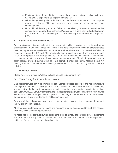- iv. Maximum time off should be no more than seven contiguous days with rare exceptions. Exceptions to be approved by the PD.
- v. While the general guidance is that a resident/fellow must use PTO for hospitalapproved holidays, PDs may exercise their discretion based on individual circumstances.
- vi. No additional time is granted for fellowship interviewing. A week is defined as five working days, Monday through Friday. Please note it is up to each individual program to set weekend call schedules prior to and following a resident/fellow's requested PTO.

# **B. Other Time Away from Work**

An unanticipated absence related to bereavement, military service, jury duty and other circumstances, may occur. Please refer to the leave policies for your hospital as different states have varying requirements related to leave. When such an absence occurs, the resident/fellow is expected to notify the PD and PC immediately; how notification should occur is up to each program. The program will arrange coverage for the resident/fellow. All leaves of absence must be documented in the residency/fellowship data management tool. Eligibility for parental leave or other hospital-provided leaves, such as leave permitted under the Family Medical Leave Act (FMLA) or other statutorily required leaves, shall be offered and controlled by the hospital's HR policies.

# **C. Parental Leave**

Please refer to your hospital's leave policies as state requirements vary.

# **D. Time Away for Educational Leave**

One additional week **MAY** be granted for educational purposes specific to the resident/fellow's training track, to expand knowledge and skills or present scholarly activity. Educational leave may include, but not be limited to, conferences, society meetings, presentations, continuing medical education, USMLE/COMLEX test taking, etc. The resident/fellow must seek approval from his/her PD as far in advance as possible and prior to committing to any requested educational leave. Each program may set guidelines on notification timelines.

Residents/fellows should not make travel arrangements or payment for educational leave until the PD approves such leave.

All scheduling matters regarding leaves and rotations must be documented through the hospital residency/fellowship management suite.

As noted above, residents, fellows and programs must be mindful of board eligibility requirements and how they are impacted by resident/fellow leaves and PTO. Refer to specialty-specific guidelines found on the specialty board website.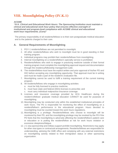# <span id="page-24-0"></span>**VIII. Moonlighting Policy (IV.K.1)**

### *ACGME*

*"IV.K. Clinical and Educational Work Hours: The Sponsoring Institution must maintain a clinical and educational work hour policy that ensures effective oversight of institutional and program-level compliance with ACGME clinical and educational work hour requirements. (Core)"*

The primary responsibility of all residents/fellows is to their own postgraduate medical education and to the patients charged to their care.

# **A. General Requirements of Moonlighting**

- 1. PGY-1 residents/fellows are not permitted to moonlight.
- 2. All other residents/fellows who wish to moonlight must be in good standing in their training program.
- 3. Individual programs may prohibit their residents/fellows from moonlighting.
- 4. Internal moonlighting on a resident/fellow's specialty service is prohibited.
- 5. Residents/fellows who wish to engage in practicing medicine outside of their formal training program must complete the moonlighting approval request and documentation through the residency/fellowship management suite.
- 6. The resident/fellow must have the explicit written and prior approval of his/her PD and DIO before accepting any moonlighting opportunity. That approval must be in writing and must be made a part of the resident's evaluation file.
- 7. Moonlighting cannot be used to fulfill a training requirement of the current training program.
- 8. All residents/fellows who engage in moonlighting activities
	- a. must be fully licensed to practice medicine;
	- b. must have state and federal (DEA) licenses to prescribe; and
	- c. must carry individual malpractice insurance coverage.
- 9. Licenses and insurance coverage provided by HCA Healthcare during the resident's/fellows' graduate medical education CANNOT be used for purposes of moonlighting.
- 10. Moonlighting may be conducted only within the established institutional principles of work hours. The PD is responsible for monitoring the effect of moonlighting on a resident/fellow's performance in the educational program. Hours devoted to moonlighting must be counted toward the work hours regulations.
- 11. Moonlighting is a privilege. Residents/fellows who choose to moonlight will be monitored by their PD, and the moonlighting privilege may be revoked by the PD if the PD feels that the moonlighting is adversely affecting the resident/fellow's patient care or education or is putting the resident/fellow at risk for work hours violation or excessive sleepiness/fatigue.
- 12. J-1 visa sponsorship and military support prohibit moonlighting. Restrictions may apply for other visa types or contractual arrangements. Residents/fellows are responsible for understanding, advising the GME office and complying with any external restrictions on moonlighting activity related to their immigration status or other sponsoring organization.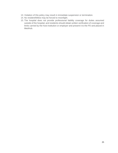- 13. Violation of this policy may result in immediate suspension or termination.
- 14. No resident/fellow may be forced to moonlight.
- 15. The hospital does not provide professional liability coverage for duties assumed outside of the hospital, and residents should obtain written verification of coverage and limits carried by the host institution or employer and present it to the PD and placed in MedHub.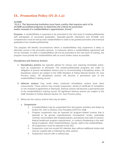# <span id="page-26-0"></span>**IX. Promotion Policy (IV.D.1.a)**

#### *ACGME*

*"IV.D.1. The Sponsoring Institution must have a policy that requires each of its ACGME-accredited programs to determine the criteria for promotion and/or renewal of a resident/fellow's appointment. (Core)"*

**Purpose:** A resident/fellow is expected to be promoted to the next level of residency/fellowship with anticipation of successful graduation. Specialty-specific milestones and ACGME core competencies must be met by each resident/fellow in order to be granted promotion and eventual graduation from residency/fellowship.

The program will identify circumstances where a resident/fellow may experience a delay or alternate course in the promotion process. In instances where a resident/fellow agreement will not be renewed, or when a resident/fellow will not be promoted to the next level of training, the program must provide the resident/fellow with as much written notice as possible.

#### **Disciplinary and Adverse Actions**

- A. **Disciplinary actions** are typically utilized for serious acts requiring immediate action, such as suspension or dismissal. The residency/fellowship programs are under no obligation to pursue remediation actions prior to recommending a disciplinary action. All disciplinary actions are subject to the GME Resident & Fellow Manual Section XII. Due Process policy. All disciplinary actions will become a permanent part of the resident/fellow's training record.
- B. **Adverse actions** may result when continued remediation actions have been unsuccessful. These actions may include suspension, denial of certificate of completion or non-renewal of agreement or dismissal. Adverse actions will become a permanent part of the resident/fellow's training record. All significant adverse actions are subject to the GME Resident & Fellow Manual Section XII. Due Process policy.
- C. Below are the various actions that may be taken.

#### a. **Suspension**

- 1. A resident/fellow may be suspended from all program activities and duties by his/her PD, DIO or Division Vice President (DVP) for GME.
- 2. Program suspension may be imposed for program-related conduct that is deemed to be grossly unprofessional; incompetent; erratic; potentially criminal; noncompliant with hospital policies, procedures and code of conduct, federal healthcare program requirements, or conduct threatening to the wellbeing of patients, other residents/fellows, faculty, staff or the resident/fellow.
- 3. All suspensions must be reported to the DIO.
- 4. Suspension must not exceed 60 calendar days without additional review and may be coupled with or followed by other actions.
- 5. Suspension may be with or without pay.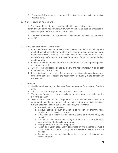6. Residents/fellows can be suspended for failure to comply with the medical records policy.

#### **b. Non-Renewal of Agreement**

1. A decision of intent to not renew a resident/fellow's contract should be communicated to the resident/fellow in writing by the PD as soon as practical but no later than prior to the end of the contract year.

2. A copy of the notification, signed by the PD and resident/fellow, must be sent to the DIO.

### c. **Denial of Certificate of Completion**

- 1. A resident/fellow may be denied a certificate of completion of training as a result of overall unsatisfactory performance during the final academic year of residency/fellowship training. This may include the entire year or overall unsatisfactory performance for at least 50 percent of rotations during the final academic year.
- 2. In most situations, the resident/fellow should be notified of this pending action as soon as possible.
- 3. A copy of the notification, signed by the PD and resident/fellow, must be sent to the DIO and DVP of GME.
- 4. In certain situations, a resident/fellow denied a certificate of completion may be offered the option of repeating the academic year, but only at the discretion of the PD and DIO.

### d. **Dismissal**

- 1. Residents/fellows may be dismissed from the program for a variety of serious acts.
- 2. The DIO or his/her designee must review all dismissals.
- 3. The resident/fellow does not need to be on suspension or remediation for this action to be taken.
- 4. Prior written notice will not be provided to the resident/fellow when it is determined that the seriousness of the act requires immediate dismissal. Serious acts may include, but are not limited to, the following:
	- a. Professional incompetence
	- b. Serious neglect of duty or violation of hospital or program rules, regulations, policies or procedures
	- c. Conviction of a felony or other serious crime as determined by the hospital
	- d. Conduct that the hospital reasonably determines to be prejudicial to the best interest of the hospital or program
	- e. Unapproved absence from the program
	- f. Action or inaction reasonably determined by the hospital to involve moral turpitude or that is contrary to the interests of patient care or the hospital
	- g. Failure to progress satisfactorily in the program's educational and clinical program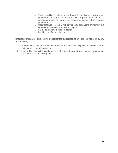- h. Total disability as defined in the hospital's employment policies and procedures, or inability to perform duties required hereunder for a designated period of time per the hospital's employment policies and procedures
- i. Material failure to comply with any specific obligations or intent of this agreement, as determined by the hospital
- j. Failure to maintain a medical license
- k. Falsification of medical records

Immediate dismissal will also occur if the resident/fellow is listed as an excluded individual by any of the following:

- 1. Department of Health and Human Services Office of the Inspector General's "List of Excluded Individuals/Entities;" or
- 2. General Services Administration's "List of Parties Excluded from Federal Procurement and Non-Procurement Programs"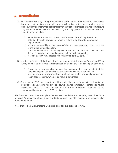# <span id="page-29-0"></span>**X. Remediation**

- A. Residents/fellows may undergo remediation, which allows for correction of deficiencies that require intervention. A remediation plan will be issued to address and correct the resident/fellow's performance deficiencies that may cause disruption to a resident/fellow's progression or continuation within the program. Key points for a resident/fellow to understand are as follows:
	- 1. Remediation is a method to assist each learner in reaching their fullest potential through addressing areas of deficiency towards graduation requirements.
	- 2. It is the responsibility of the resident/fellow to understand and comply with the terms of the remediation plan.
	- 3. A resident/fellow's failure to comply with the remediation plan may cause additional time to be assigned for remediation or could result in termination.
	- 4. A resident/fellow may undergo remediation for up to 90 days.
- B. It is the preference of the hospital and the program that the resident/fellow and PD or faculty member acknowledge the remediation by signing the remediation plan document.
	- 1. Failure of a resident/fellow to sign the document does not negate that the remediation plan is to be followed and completed by the resident/fellow.
	- 2. It is the resident or fellow's failure to adhere to the plan in a timely manner and rectify said problems, which could result in termination.
- C. Given that the CCCs meet quarterly or bi-annually, they are not always the only party that identifies residents/fellows with deficiencies. When a resident/fellow is identified as having deficiencies, the CCC is informed and reviews the resident/fellow's education record during an ad hoc or scheduled CCC meeting.

The flow chart below is an example of the process to explain the above policy when the CCC is involved. As described above, there can be times when the PD initiates the remediation plan independent of the CCC.

**Note that remediation matters are not eligible for due process review.**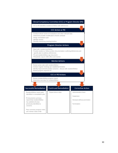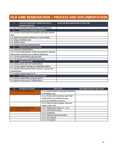# **HCA GME REMEDIATION - PROCESS AND DOCUMENTATION**

| CLINICAL COMPETENCY COMMITTEE (CCC) or<br>L                     | DATES AND DOCUMENTATION OF EACH STEP |
|-----------------------------------------------------------------|--------------------------------------|
| PROGRAM DIRECTOR                                                |                                      |
| I.A. CCC or PD identifies resident/fellow with deficiencies     |                                      |
| CCC ACTION OF PROGRAM DIRECTOR<br>II.                           |                                      |
| II.A. Conduct critical review of evaluations and other relevant |                                      |
| data                                                            |                                      |
| II.B. Determine possible modification of work schedule          |                                      |
| II.C. Design remediation plan                                   |                                      |
| II.D. Identify mentor                                           |                                      |
| II.E. Develop mentoring meeting timeline                        |                                      |
| PROGRAM DIRECTOR ACTIONS<br><b>III.</b>                         |                                      |
| III.A. Meet with resident/fellow                                |                                      |
| III.B. Provide resident/fellow written documentation outlining  |                                      |
| deficiencies and specific plan to address deficiencies          |                                      |
| III.C. PD and resident/fellow sign document                     |                                      |
| III.D. PD submits copy to GME office and mentor                 |                                      |
| <b>MENTOR ACTIONS</b><br>IV.                                    |                                      |
| IV.A. Review action plan with resident/fellow                   |                                      |
| IV.B. Conduct regular meetings per established timeline         |                                      |
| IV.C. Identify improvements and/or concerns - discuss with      |                                      |
| resident/fellow                                                 |                                      |
| IV.D. Submit progress report to PD                              |                                      |
| CCC or PROGRAM DIRECTOR ACTIONS<br>v.                           |                                      |
| V.A. Review resident/fellow progress reports                    |                                      |
| V.B. Determine next step for resident/fellow                    |                                      |

| POSSIBLE OUTCOMES<br>VI.            | <b>NEXT STEPS</b>                              | DOCUMENTATION OF NEXT STEPS |
|-------------------------------------|------------------------------------------------|-----------------------------|
| <b>VI.A. SUCCESSFUL REMEDIATION</b> | VI.A.1. Resident/fellow meets goals identified |                             |
|                                     | in remediation plan                            |                             |
|                                     | VI.A.2. PD documents summary report that       |                             |
|                                     | resident/fellow has satisfied all areas        |                             |
|                                     | previously identified as concerns              |                             |
|                                     | VI.A.3. Place summary progress notes and       |                             |
|                                     | mentor notes in file                           |                             |
| <b>VI.B. CONTINUED REMEDIATION</b>  | VI.B.1. Repeat above steps (I.A. - V.B.)       |                             |
| <b>VI.C. CORRECTIVE ACTION</b>      | VI.C.1. Administrative leave                   |                             |
|                                     | VI.C.2. Suspension                             |                             |
|                                     | VI.C.3. Renewal without promotion              |                             |
|                                     | VI.C.4. Non-renewal                            |                             |
|                                     | VI.C.5. Termination                            |                             |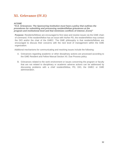# <span id="page-32-0"></span>**XI. Grievance (IV.E)**

### *ACGME*

*"IV.E. Grievances: The Sponsoring Institution must have a policy that outlines the procedures for submitting and processing resident/fellow grievances at the program and institutional level and that minimizes conflicts of interest. (Core)"*

Purpose: Residents/fellows are encouraged to first raise and resolve issues via the GME chain of command. If the resident/fellow has an issue with his/her PD, the resident/fellow may contact the DIO and/or the chair of the GMEC. The GME philosophy is that residents/fellows are encouraged to discuss their concerns with the next level of management within the GME organization.

Additional mechanisms for communicating and resolving issues include the following:

- A. Grievances regarding academic or other disciplinary actions are processed according to the GME Resident and Fellow Manual Section XII. Due Process policy.
- B. Grievances related to the work environment or issues concerning the program or faculty that are not related to disciplinary or academic adverse actions can be addressed by discussing problems with a chief resident/fellow, PD, DIO, the GMEC or GME administration.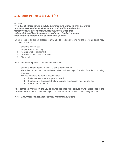# <span id="page-33-0"></span>**XII. Due Process (IV.D.1.b)**

### *ACGME*

*"IV.D.1.a) The Sponsoring Institution must ensure that each of its programs provides a resident/fellow with a written notice of intent when that resident/fellow's agreement will not be renewed, when that resident/fellow will not be promoted to the next level of training or when that resident/fellow will be dismissed. (Core)"* 

Due process or an appeal process is available to residents/fellows for the following disciplinary or adverse actions:

- 1. Suspension with pay
- 2. Suspension without pay
- 3. Non-renewal of agreement
- 4. Denial of certificate of completion
- 5. Dismissal

To initiate the due process, the resident/fellow must:

- 1. Submit a written appeal to the DIO or his/her designee.
- 2. The written appeal must be made within five business days of receipt of the decision being appealed.
- 3. The resident/fellow's appeal should state:
	- a. the facts on which the appeal is based,
	- b. the reason(s) the resident/fellow believes the decision was in error, and
	- c. the remedy requested.

After gathering information, the DIO or his/her designee will distribute a written response to the resident/fellow within 10 business days. The decision of the DIO or his/her designee is final.

#### *Note: Due process is not applicable for remediation matters.*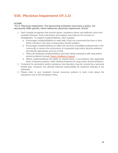# <span id="page-34-0"></span>**XIII. Physician Impairment (IV.I.2)**

### *ACGME*

#### *"IV.I.2. Physician Impairment: The Sponsoring Institution must have a policy, not necessarily GME-specific, which addresses physician impairment. (Core)"*

- 1. Each hospital recognizes that alcohol abuse, substance abuse and addiction arise from treatable illnesses. Early intervention and support may improve the success of rehabilitation. To support residents/fellows, each hospital:
	- a. Encourages residents/fellows to seek help if they are concerned that they or their family members may have a drug and/or alcohol problem.
	- b. Encourages residents/fellows to utilize the services of qualified professionals in the community to assess the seriousness of suspected drug and/or alcohol problems and identify appropriate sources of help.
	- c. Offers all employed residents/fellows and their family assistance with drug and/or alcohol problems through [Optum WellBeing Support.](https://www.liveandworkwell.com/content/en/public.html)
	- d. Allows residents/fellows the ability to request leave, in accordance with applicable leave of absence policies, while seeking treatment for drug and/or alcohol problems.
- 2. Treatment for alcoholism and/or substance use disorders may be covered by a personal benefit plan. However, the ultimate financial responsibility for treatment belongs to the individual.
- 3. Please refer to your hospital's human resources policies to learn more about the Substance Use in the Workplace Policy.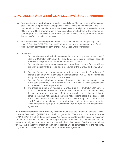# <span id="page-35-0"></span>**XIV. USMLE Step 3 and COMLEX Level 3 Requirements**

- A. Residents/fellows **must take and pass** the United States Medical Licensing Examination Step 3 or the Comprehensive Osteopathic Medical Licensing Examination Level 3 six months prior to the scheduled start of the PGY-3 year to be eligible for promotion to the PGY-3 level in GME programs. While residents/fellows must adhere to this requirement, each program has the ability to set a more stringent timeline and requirement regarding the successful completion of this exam.
- B. Residents/fellows transferring from another program must document a passing score on USMLE Step 3 or COMLEX-USA Level 3 within six months of the starting date of their resident/fellow contract or the start of their PGY-3 year, whichever is later.
- C. Procedure
	- 1. Residents/fellows shall submit documentation of a passing score on the USMLE Step 3 or COMLEX-USA Level 3 or provide a copy of their full medical license to the GME office **prior** to the start date of their PGY-3 contract.
	- 2. Residents/fellows are strongly encouraged to read and become familiar with the eligibility requirements, policies and procedures of the USMLE or the COMLEX-USA.
	- 3. Residents/fellows are strongly encouraged to take and pass the Step 3/Level 3 license examination well in advance of the start of their PGY-3. The recommended timing of the exam is at the end of the PGY-1.
	- 4. Residents/fellows who have not passed the required licensing examinations prior to the start of their PGY-3 will remain at the PGY-2 level for both compensation and academic/clinical responsibilities.
	- 5. The maximum number of retakes for USMLE Step 3 or COMLEX-USA Level 3 shall be defined by USMLE and COMLEX-USA requirements. Candidates failing the maximum number of retakes of either examination are no longer eligible to complete the examination and are therefore not eligible to obtain a medical license in the United States. Candidates who fail the USMLE Step 3 or COMLEX-USA Level 3 after the maximum number of retakes will be terminated from the residency/fellowship program in accordance with the terms of the resident/fellow agreement.

**For Podiatry Residents only**: Podiatry residents must pass the American Podiatric Medical Licensing Examination (AMPLE) Part III prior to graduation. The maximum number of retakes for AMPLE Part III shall be determined by AMPLE requirements. Candidates failing the maximum number of examination retakes are no longer eligible to complete the examination and are therefore not eligible to obtain a medical license in the United States. Candidates who fail the AMPLE Part III after the maximum number of retakes will be terminated from the residency program in accordance with the terms of the resident/fellow agreement.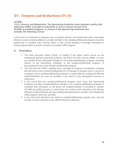# <span id="page-36-0"></span>**XV. Closures and Reductions (IV.O)**

### *ACGME*

*"IV.O. Closures and Reductions: The Sponsoring Institution must maintain a policy that addresses GMEC oversight of reductions in size or closure of each of its ACGME-accredited programs, or closure of the Sponsoring Institution that includes the following: (Core)"*

In the event of a reduction in program size or program closure, the hospital will make reasonable efforts to ensure residents/fellows currently enrolled in the residency/fellowship program have the opportunity to complete their training, either in their current program or through assistance in finding opportunities to enroll in another accredited GME program.

### **A. Procedure**

- 1. The chief executive officer (CEO), on behalf of the board, which serves as the institutional sponsor governing authority, will inform the DIO and the GMEC as soon as possible of any anticipated changes in the residency/fellowship program, including closure of the Sponsoring Institution or the residency/fellowship program, or decreasing the size of the residency/fellowship program.
- 2. The DIO and the GMEC together have oversight of program accreditation changes and will inform each residency/fellowship PD of changes in program size or closure of a program. Each residency/fellowship program is responsible for notifying all affected residents/fellows as soon as possible in the event of any anticipated closures or reductions.
- 3. In the event that any residency/fellowship program must close, the Sponsoring Institution will allow residents/fellows already in the residency/fellowship program to complete their education or will assist the residents/fellows in enrolling in another ACGME-accredited program in which they can continue their education and training. Affected residents/fellows will have preferential placement in another HCA Healthcare GME program whenever possible.
- 4. In the event that alterations are made to residency/fellowship program size, only the number of future positions to be offered should be affected.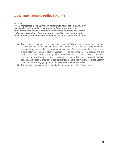# <span id="page-37-0"></span>**XVI. Harassment Policy (IV.I.3)**

#### *ACGME*

*"IV.I.3. Harassment: The Sponsoring Institution must have a policy, not necessarily GME-specific, covering sexual and other forms of harassment, that allows residents/fellows access to processes to raise and resolve complaints in a safe and non-punitive environment and in a timely manner, consistent with applicable laws and regulations. (Core)"*

- A. The hospital is committed to providing residents/fellows the opportunity to pursue excellence in their academic and professional endeavors. This can occur only when each member of our community is assured an atmosphere of mutual respect, in which they are judged solely on criteria related to academic or job performance. The hospital and the GMEC are committed to providing such an environment, free from all forms of unlawful harassment, including harassment based on race, color, religion, gender, national origin, age, disability, sexual orientation, gender identity, genetic information, protected veteran status or status in any group protected by federal, state and local law.
- B. The hospital Harassment Policy can be found on the hospital HR policy page.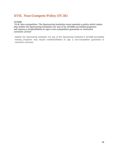# <span id="page-38-0"></span>**XVII. Non-Compete Policy (IV.M)**

#### *ACGME*

*"IV.M. Non-competition: The Sponsoring Institution must maintain a policy which states that neither the Sponsoring Institution nor any of its ACGME-accredited programs will require a resident/fellow to sign a non-competition guarantee or restrictive covenant. (Core)"*

Neither the Sponsoring Institution nor any of the Sponsoring Institution's ACGME-accredited training programs may require residents/fellows to sign a non-competition guarantee or restrictive covenant.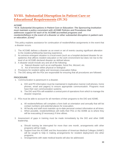# <span id="page-39-0"></span>**XVIII. [Substantial Disruption in Patient Care or](#page-39-0)  [Educational Requirements](#page-39-0) (IV.N)**

#### *ACGME*

*"IV.N. Substantial Disruptions in Patient Care or Education: The Sponsoring Institution must maintain a policy consistent with ACGME Policies and Procedures that addresses support for each of its ACGME-accredited programs and residents/fellows in the event of a disaster or other substantial disruption in patient care or education. (Core)"*

This policy explains assistance for continuation of resident/fellow assignments in the event that a disaster occurs.

- 1. The ACGME defines a disaster as an event or set of events causing significant alteration to the residency/fellowship learning experience.
- 2. An extreme emergent situation is a local event (such as a hospital-declared disaster for an epidemic) that affects resident education or the work environment but does not rise to the level of an ACGME-declared disaster as defined above.
- 3. A disaster would include any and all of the following:
	- a. Natural disaster such as an earthquake, forest fire, blizzard, etc.
	- b. Act of terrorism either physical or biological
- 4. Provisions for resident safety and necessary evacuation follow.
- 5. The DIO along with the PDs are responsible for ensuring that all procedures are followed.

#### **PROCEDURE**

- 1. Communication is paramount in a disaster.
	- a. DIO and PD information must be maintained in duplicative manner (cell phones, home phones, email and pagers) to ensure appropriate communication. Programs must have their own communication systems.
	- b. The DIO and PDs will establish a central point of operations from which to manage the disaster response.
- 2. PDs must be able to account for all members of their programs to the DIO and ADME.
	- a. All residents/fellows will complete a form both at orientation and annually that will list contact numbers and potential places for evacuation.
	- b. All faculty and staff must maintain up-to-date personal contact information at all times.
	- c. When possible, residents/fellows will notify their PDs or the ADME as to where they will be evacuating (if necessary) if time allows.
- 3. Assessment of gaps in training must be made immediately by the DIO and other GME leadership.
	- a. Should training be interrupted for more than one month, arrangements with other programs will be made.
	- b. Support from the ACGME and the Association of American Medical Colleges (AAMC) will be sought to help in making arrangements for resident deployment into other programs.
	- c. Arrangements with state medical boards will also be addressed.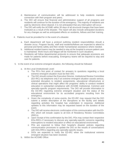- d. Maintenance of communication will be addressed to help residents maintain connection with their program and peers.
- e. The DIO will ensure that financial and administrative support of all programs and residents will continue for the duration of the emergency. The majority of residents are paid by electronic direct deposit; it is not anticipated that any interruption will occur.
- f. The DIO will notify the ACGME within 30 days of all structural changes that have been instituted as a result of the disaster. The report will also include anticipated durations for any changes as well as anticipated effects on residents, fellows and their training.
- 4. Patients must be provided for in the event of a disaster.
	- a. Each department will have a protocol outlining resident responsibilities should a disaster occur. Program faculty, staff and residents/fellows are expected to attend to personal and family safety and then render humanitarian assistance where needed.
	- b. Additional resident teams may be needed to stay at the hospital to ensure patient care is maintained. Work hours and fatigue will be monitored in such situations.
	- c. Residents will follow departmental protocols to ensure that adequate provisions are made for patients before evacuating. Emergency teams will be required to stay and care for patients.
- 5. In the event of an extreme emergent situation, the following should be followed:
	- a. At the Local (Institutional) Level:
		- o The PD's first point of contact for answers to questions regarding a local extreme emergent situation must be their DIO.
		- o The DIO should contact the Executive Director, Institutional Review Committee (ED-IRC) via telephone only if an extreme emergent situation causes serious, extended disruption to resident assignments, educational infrastructure or clinical operations that might affect the programs' ability to conduct resident education in substantial compliance with ACGME Institutional, Common and specialty-specific program requirements. The DIO will provide information to the ED-IRC regarding extreme emergent situation and the status of the educational environment for its accredited programs resulting from the emergency.
		- o Given the complexity of some events, the ED-IRC may request that the DIO submit a written description of the disruptions at the facility and details regarding activities the hospital has undertaken in response. Additional updates to this information may be requested based on the duration of the event.
		- o The DIO will receive electronic confirmation of this communication with the ED-IRC which will include copies to all EDs of Residency Review Committees (RRCs).
		- o Upon receipt of this confirmation by the DIO, PDs may contact their respective EDs-RRCs if necessary to discuss any specialty-specific concerns regarding interruptions to resident education or effect on educational environment.
		- o PDs are expected to follow their hospital's disaster policies regarding communication processes to update the DIO on the results of conversations with EDs-RRCs regarding any specialty-specific issues.
		- o DIOs are expected to notify the ED-IRC when the institutional extreme emergent situation has been resolved.
	- b. Within the ACGME Office: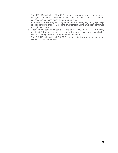- o The ED-IRC will alert EDs-RRCs when a program reports an extreme emergent situation. These communications will be included as interim correspondence in institutional and program files.
- o PDs from affected programs may communicate directly regarding specialtyspecific concerns once local extreme emergent situations have been confirmed through the ED-IRC.
- o After communication between a PD and an ED-RRC, the ED-RRC will notify the ED-IRC if there is a perception of substantive institutional accreditation issues occurring within the program during the event.
- o The ED-IRC will notify all ED-RRCs when institutional extreme emergent situations have been resolved.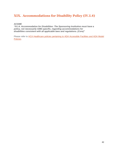# <span id="page-42-0"></span>**XIX. Accommodations for Disability Policy (IV.I.4)**

#### *ACGME*

*"IV.I.4. Accommodation for Disabilities: The Sponsoring Institution must have a policy, not necessarily GME-specific, regarding accommodations for disabilities consistent with all applicable laws and regulations. (Core)"*

Please refer to **HCA Healthcare policies pertaining to ADA Accessible Facilities and ADA Model** [Policies.](https://connect.medcity.net/web/ethicsandcomplianceoverview/america-disability-act)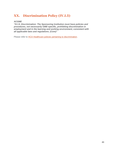# <span id="page-43-0"></span>**XX. Discrimination Policy (IV.I.5)**

#### *ACGME*

*"IV.I.5. Discrimination: The Sponsoring Institution must have policies and procedures, not necessarily GME-specific, prohibiting discrimination in employment and in the learning and working environment, consistent with all applicable laws and regulations. (Core)"*

Please refer to **HCA Healthcare policies pertaining to discrimination**.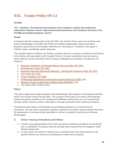# <span id="page-44-0"></span>**XXI. Vendor Policy (IV.L)**

### **ACGME**

*"IV.L. Vendors: The Sponsoring Institution must maintain a policy that addresses interactions between vendor representatives/corporations and residents and each of its ACGME-accredited programs. (Core)"*

#### **Scope:**

In keeping with the requirements of the ACGME, this Vendor Policy covers all residents and fellows participating in ACGME and CPME accredited postgraduate medical education programs sponsored by the hospital. References in this policy to "residents" also apply to "fellows" unless specifically stated otherwise.

The hospital expects residents and fellows, program directors, program coordinators and faculty to be familiar with and abide by the hospital Code of Conduct and policies and procedures which address Vendor interaction with Company colleagues and facilities, including but not limited to:

- [Business Courtesies to Potential Referral Sources Policy \(EC.005\),](https://connect.medcity.net/c/document_library/get_file?uuid=40995fa4-d69f-48ac-ad61-a4432a190ac2&groupId=42069440)
- [Entertainment Policy \(EC.006\)](https://connect.medcity.net/c/document_library/get_file?uuid=b2a0a6b8-e46f-46f3-b974-bdd8d9bf17a6&groupId=42069440)
- [Business Associate-Sponsored Meetings, Training and Honoraria Policy \(EC.007\)](https://connect.medcity.net/c/document_library/get_file?uuid=0a031004-fd08-4955-a71e-8f90cc118c04&groupId=42069440)
- [Gifts Policy \(EC.023\)](https://connect.medcity.net/c/document_library/get_file?uuid=b3312c17-2d9b-42fc-b2a3-5d8b475f3196&groupId=42069440)
- [Vendor Relations \(EC.028\)](https://connect.medcity.net/documents/42069440/57294411/EC028+Vendor+Relations.docx/07080a8f-3ad4-a348-69f8-13df46090978?t=1588615141147)
- [Professional Educational Funding from Vendors Policy \(EC.029\),](https://connect.medcity.net/documents/42069440/57294411/EC029+Professional+Education+Funding+from+Vendors.docx/f5c7696f-d91f-1790-fbb4-65c9ce4c0c38?t=1588610435097) and
- [Research Grant Funding from Vendors Policy \(MM.005\),](https://connect.medcity.net/c/document_library/get_file?uuid=df0b7d20-a5a7-49a4-973f-c8f8519e7916&groupId=42069440) and
- The below GME Vendor Policy.

#### **Policy:**

This policy addresses resident behavior and relationships with vendors in educational contexts, which may include clinical training sites. The purpose of the policy is to ensure that graduate medical education activities at the Hospital and affiliated training sites are not compromised through vendor influence, either collectively or through interactions with individual residents.

The following descriptions of allowable and prohibited practices is not intended to be exhaustive, and any other interactions between residents and vendor representatives that have the appearance of compromising impartiality in clinical or academic practices are likewise discouraged.

#### **A. Vendor Training of Residents and Fellows**

- 1. Vendors may appropriately orient, train and advise residents and fellows on the proper use or calibration of a product that has already been acquired by the Hospital or other clinical training site.
- 2. In such cases, the vendor is present as a consultant and must solely advise on the specific device and should not be allowed to market other products.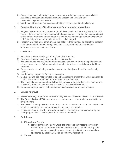- 3. Supervising faculty physicians must ensure that vendor involvement in any clinical activities is disclosed to patients/surrogates verbally and in writing and patients/surrogates must assent.
- 4. Vendors must be identified as such so that they are not mistaken for clinicians.

### **B. Program Monitoring of Resident-Vendor Representative Interactions**

- 1. Program leadership should be aware of and discuss with residents any interaction with representatives from vendors to ensure that any contacts are within the scope and spirit of this policy. Interactions that appear to place the resident in a position of obligation to or influence by the vendor should be explicitly discouraged.
- 2. Program Directors must communicate this policy to their trainees as part of the program orientation and reinforce it through inclusion in program handbooks and other information sites for resident reference.

### **C. Guidelines**

- 1. Residents may not accept gifts of any kind from a vendor.
- 2. Residents may not accept free samples from a vendor.
- 3. The acceptance by a resident of pharmaceutical samples for delivery to patients is not allowed. Acceptance of pharmaceutical samples for self-use is strictly prohibited for all residents.
- 4. Promotional and marketing materials may not be directly distributed to residents by vendor.
- 5. Vendors may not provide food and beverages.
- 6. GME personnel are not permitted to directly accept gifts or incentives which can include books, instruments, equipment or teaching aids from vendors.
- 7. The Hospital does not permit funds from the industry to be provided in any manner and specifically does not allow lunches or meals to be provided by vendors.
- 8. Company employees may not contribute in-kind services for a vendor's event.

### **D. Vendor Approval**

- 1. Please send any requests for vendor-funding events to the GME Division Vice President.
- 2. The Facility/Division ECO must approve acceptance of vendor funds for any facility or division event.
- 3. The division or company department must determine the need for education, choose the speakers and attendees and determine the schedule and location.
- 4. If it is necessary to provide the vendor education at a dinner or noon conference, the GME program would need to provide for costs of the meals.

### **E. Definitions**

### 1. **Educational Events**

- a. Refers to those events for which the attendees may receive certification towards their professional educational requirements, as well as any other activities that are provided for professional educational purposes and are sponsored by a facility, division or company department
- 2. **Vendor**